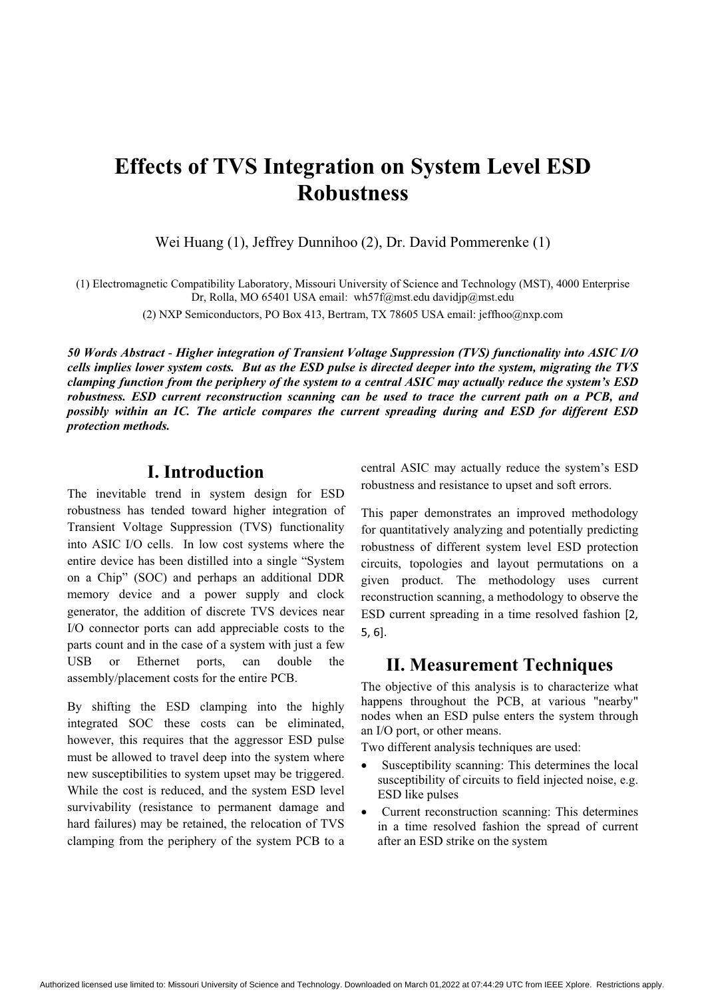## **Effects of TVS Integration on System Level ESD Robustness**

Wei Huang (1), Jeffrey Dunnihoo (2), Dr. David Pommerenke (1)

(1) Electromagnetic Compatibility Laboratory, Missouri University of Science and Technology (MST), 4000 Enterprise Dr, Rolla, MO 65401 USA email: wh57f@mst.edu davidjp@mst.edu

(2) NXP Semiconductors, PO Box 413, Bertram, TX 78605 USA email: jeffhoo@nxp.com

*50 Words Abstract* - *Higher integration of Transient Voltage Suppression (TVS) functionality into ASIC I/O cells implies lower system costs. But as the ESD pulse is directed deeper into the system, migrating the TVS clamping function from the periphery of the system to a central ASIC may actually reduce the system's ESD robustness. ESD current reconstruction scanning can be used to trace the current path on a PCB, and possibly within an IC. The article compares the current spreading during and ESD for different ESD protection methods.* 

## **I. Introduction**

The inevitable trend in system design for ESD robustness has tended toward higher integration of Transient Voltage Suppression (TVS) functionality into ASIC I/O cells. In low cost systems where the entire device has been distilled into a single "System on a Chip" (SOC) and perhaps an additional DDR memory device and a power supply and clock generator, the addition of discrete TVS devices near I/O connector ports can add appreciable costs to the parts count and in the case of a system with just a few USB or Ethernet ports, can double the assembly/placement costs for the entire PCB.

By shifting the ESD clamping into the highly integrated SOC these costs can be eliminated, however, this requires that the aggressor ESD pulse must be allowed to travel deep into the system where new susceptibilities to system upset may be triggered. While the cost is reduced, and the system ESD level survivability (resistance to permanent damage and hard failures) may be retained, the relocation of TVS clamping from the periphery of the system PCB to a central ASIC may actually reduce the system's ESD robustness and resistance to upset and soft errors.

This paper demonstrates an improved methodology for quantitatively analyzing and potentially predicting robustness of different system level ESD protection circuits, topologies and layout permutations on a given product. The methodology uses current reconstruction scanning, a methodology to observe the ESD current spreading in a time resolved fashion [2,-  $5, 6$ ].

### **II. Measurement Techniques**

The objective of this analysis is to characterize what happens throughout the PCB, at various "nearby" nodes when an ESD pulse enters the system through an I/O port, or other means.

Two different analysis techniques are used:

- $\bullet$  Susceptibility scanning: This determines the local susceptibility of circuits to field injected noise, e.g. ESD like pulses
- $\bullet$  Current reconstruction scanning: This determines in a time resolved fashion the spread of current after an ESD strike on the system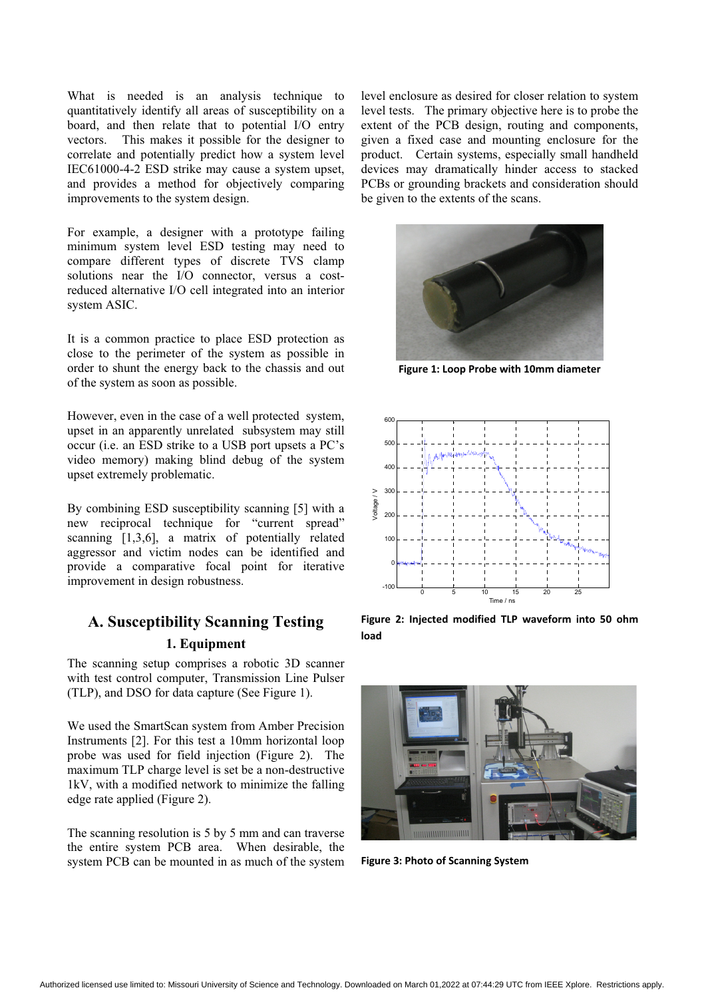What is needed is an analysis technique to quantitatively identify all areas of susceptibility on a board, and then relate that to potential I/O entry vectors. This makes it possible for the designer to correlate and potentially predict how a system level IEC61000-4-2 ESD strike may cause a system upset, and provides a method for objectively comparing improvements to the system design.

For example, a designer with a prototype failing minimum system level ESD testing may need to compare different types of discrete TVS clamp solutions near the I/O connector, versus a costreduced alternative I/O cell integrated into an interior system ASIC.

It is a common practice to place ESD protection as close to the perimeter of the system as possible in order to shunt the energy back to the chassis and out of the system as soon as possible.

However, even in the case of a well protected system, upset in an apparently unrelated subsystem may still occur (i.e. an ESD strike to a USB port upsets a PC's video memory) making blind debug of the system upset extremely problematic.

By combining ESD susceptibility scanning [5] with a new reciprocal technique for "current spread" scanning [1,3,6], a matrix of potentially related aggressor and victim nodes can be identified and provide a comparative focal point for iterative improvement in design robustness.

## **A. Susceptibility Scanning Testing 1. Equipment**

The scanning setup comprises a robotic 3D scanner with test control computer, Transmission Line Pulser (TLP), and DSO for data capture (See Figure 1).

We used the SmartScan system from Amber Precision Instruments [2]. For this test a 10mm horizontal loop probe was used for field injection (Figure 2). The maximum TLP charge level is set be a non-destructive 1kV, with a modified network to minimize the falling edge rate applied (Figure 2).

The scanning resolution is 5 by 5 mm and can traverse the entire system PCB area. When desirable, the system PCB can be mounted in as much of the system level enclosure as desired for closer relation to system level tests. The primary objective here is to probe the extent of the PCB design, routing and components, given a fixed case and mounting enclosure for the product. Certain systems, especially small handheld devices may dramatically hinder access to stacked PCBs or grounding brackets and consideration should be given to the extents of the scans.



**Figure 1: Loop Probe with 10mm diameter** 



Figure 2: Injected modified TLP waveform into 50 ohm **load-**



**Figure 3: Photo of Scanning System**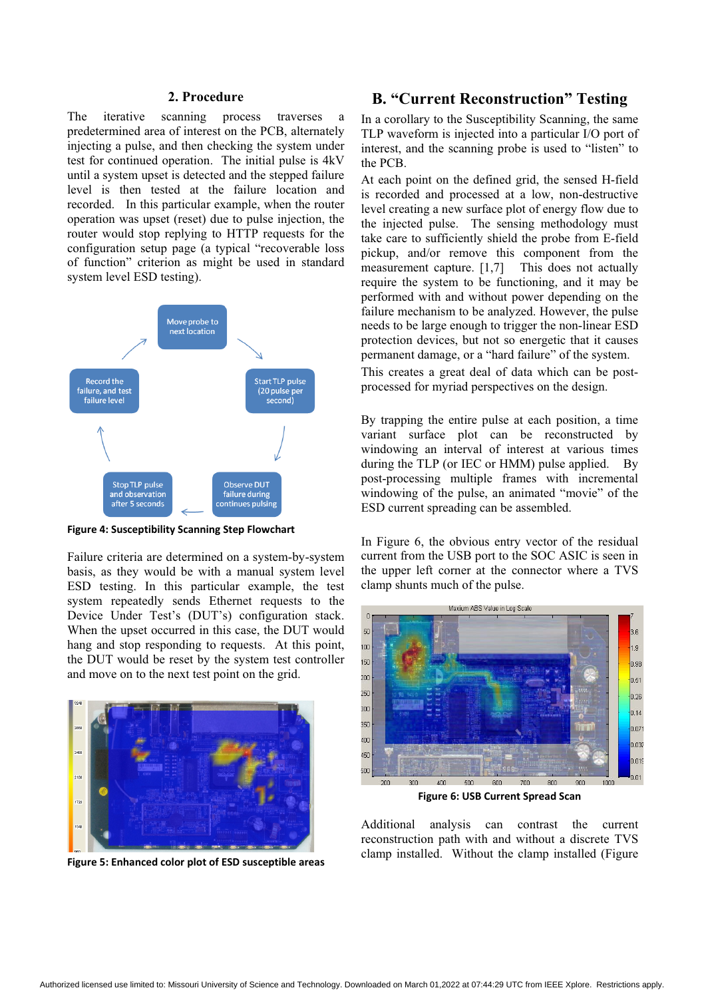#### **2. Procedure**

The iterative scanning process traverses a predetermined area of interest on the PCB, alternately injecting a pulse, and then checking the system under test for continued operation. The initial pulse is 4kV until a system upset is detected and the stepped failure level is then tested at the failure location and recorded. In this particular example, when the router operation was upset (reset) due to pulse injection, the router would stop replying to HTTP requests for the configuration setup page (a typical "recoverable loss of function" criterion as might be used in standard system level ESD testing).



Figure 4: Susceptibility Scanning Step Flowchart

Failure criteria are determined on a system-by-system basis, as they would be with a manual system level ESD testing. In this particular example, the test system repeatedly sends Ethernet requests to the Device Under Test's (DUT's) configuration stack. When the upset occurred in this case, the DUT would hang and stop responding to requests. At this point, the DUT would be reset by the system test controller and move on to the next test point on the grid.



**Figure 5: Enhanced color plot of ESD susceptible areas** 

## **B. "Current Reconstruction" Testing**

In a corollary to the Susceptibility Scanning, the same TLP waveform is injected into a particular I/O port of interest, and the scanning probe is used to "listen" to the PCB.

At each point on the defined grid, the sensed H-field is recorded and processed at a low, non-destructive level creating a new surface plot of energy flow due to the injected pulse. The sensing methodology must take care to sufficiently shield the probe from E-field pickup, and/or remove this component from the measurement capture. [1,7] This does not actually require the system to be functioning, and it may be performed with and without power depending on the failure mechanism to be analyzed. However, the pulse needs to be large enough to trigger the non-linear ESD protection devices, but not so energetic that it causes permanent damage, or a "hard failure" of the system. This creates a great deal of data which can be postprocessed for myriad perspectives on the design.

By trapping the entire pulse at each position, a time variant surface plot can be reconstructed by windowing an interval of interest at various times during the TLP (or IEC or HMM) pulse applied. By post-processing multiple frames with incremental windowing of the pulse, an animated "movie" of the ESD current spreading can be assembled.

In Figure 6, the obvious entry vector of the residual current from the USB port to the SOC ASIC is seen in the upper left corner at the connector where a TVS clamp shunts much of the pulse.



**Figure 6: USB Current Spread Scan** 

Additional analysis can contrast the current reconstruction path with and without a discrete TVS clamp installed. Without the clamp installed (Figure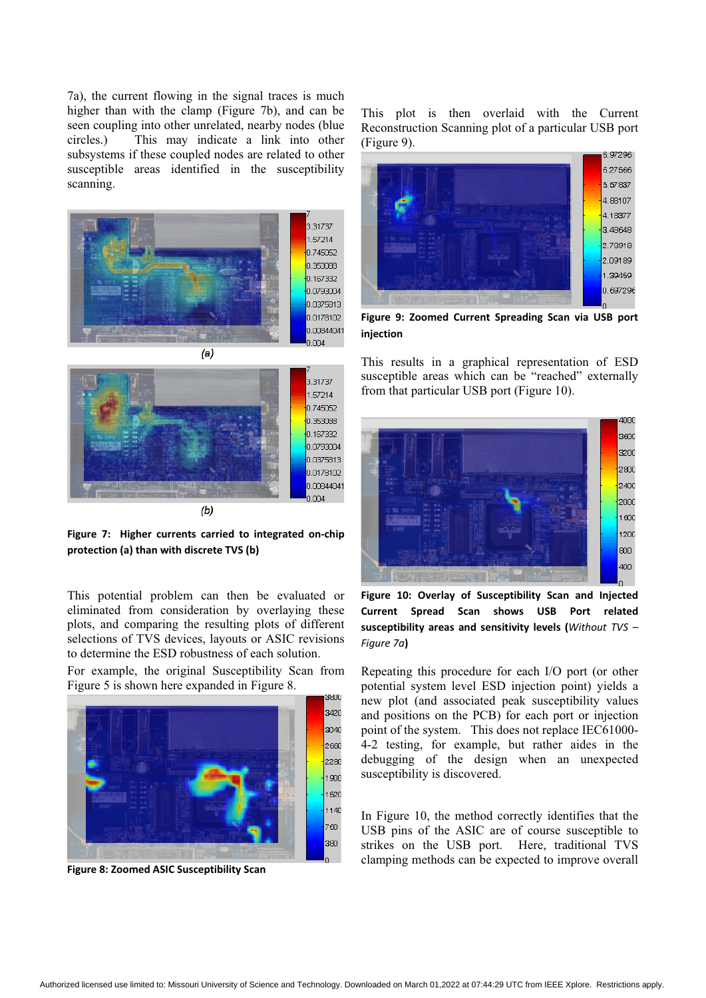7a), the current flowing in the signal traces is much higher than with the clamp (Figure 7b), and can be seen coupling into other unrelated, nearby nodes (blue circles.) This may indicate a link into other subsystems if these coupled nodes are related to other susceptible areas identified in the susceptibility scanning.



 $(a)$ 



Figure 7: Higher currents carried to integrated on-chip **protection (a) than with discrete TVS (b)** 

This potential problem can then be evaluated or eliminated from consideration by overlaying these plots, and comparing the resulting plots of different selections of TVS devices, layouts or ASIC revisions to determine the ESD robustness of each solution.

For example, the original Susceptibility Scan from Figure 5 is shown here expanded in Figure 8.



**8: Zoomed ASIC Susceptibility Scan** 

This plot is then overlaid with the Current Reconstruction Scanning plot of a particular USB port (Figure 9).



Figure 9: Zoomed Current Spreading Scan-via USB port **injection**

This results in a graphical representation of ESD susceptible areas which can be "reached" externally from that particular USB port (Figure 10).



Figure 10: Overlay of Susceptibility Scan and Injected Current Spread Scan shows USB Port related **susceptibility areas and sensitivity levels (Without TVS –<br>Figure 7s)** *Figure-7a***)**

Repeating this procedure for each I/O port (or other potential system level ESD injection point) yields a new plot (and associated peak susceptibility values and positions on the PCB) for each port or injection point of the system. This does not replace IEC61000- 4-2 testing, for example, but rather aides in the debugging of the design when an unexpected susceptibility is discovered.

In Figure 10, the method correctly identifies that the USB pins of the ASIC are of course susceptible to strikes on the USB port. Here, traditional TVS clamping methods can be expected to improve overall **Figure-**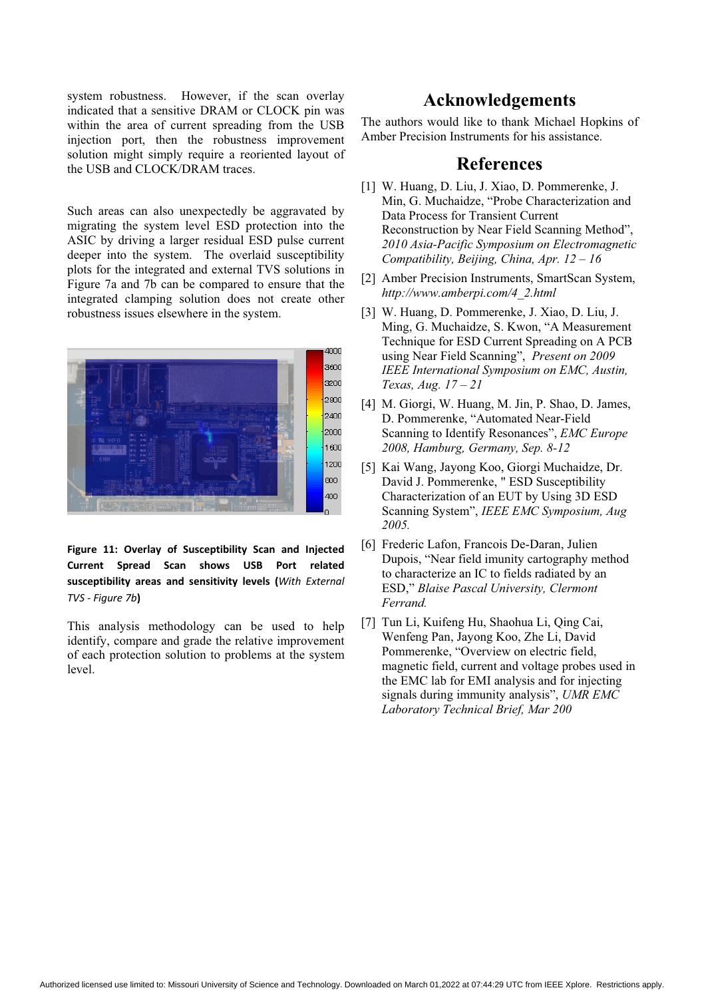system robustness. However, if the scan overlay indicated that a sensitive DRAM or CLOCK pin was within the area of current spreading from the USB injection port, then the robustness improvement solution might simply require a reoriented layout of the USB and CLOCK/DRAM traces.

Such areas can also unexpectedly be aggravated by migrating the system level ESD protection into the ASIC by driving a larger residual ESD pulse current deeper into the system. The overlaid susceptibility plots for the integrated and external TVS solutions in Figure 7a and 7b can be compared to ensure that the integrated clamping solution does not create other robustness issues elsewhere in the system.



Figure 11: Overlay of Susceptibility Scan and Injected Current Spread Scan shows USB Port related susceptibility areas and sensitivity levels (With External<br>The Figure 7b) *Figure-7b***)**

This analysis methodology can be used to help identify, compare and grade the relative improvement of each protection solution to problems at the system level.

## **Acknowledgements**

The authors would like to thank Michael Hopkins of Amber Precision Instruments for his assistance.

## **References**

- [1] W. Huang, D. Liu, J. Xiao, D. Pommerenke, J. Min, G. Muchaidze, "Probe Characterization and Data Process for Transient Current Reconstruction by Near Field Scanning Method", *2010 Asia-Pacific Symposium on Electromagnetic Compatibility, Beijing, China, Apr. 12 – 16*
- [2] Amber Precision Instruments, SmartScan System, *http://www.amberpi.com/4\_2.html*
- [3] W. Huang, D. Pommerenke, J. Xiao, D. Liu, J. Ming, G. Muchaidze, S. Kwon, "A Measurement Technique for ESD Current Spreading on A PCB using Near Field Scanning", *Present on 2009 IEEE International Symposium on EMC, Austin, Texas, Aug. 17 – 21*
- [4] M. Giorgi, W. Huang, M. Jin, P. Shao, D. James, D. Pommerenke, "Automated Near-Field Scanning to Identify Resonances", *EMC Europe 2008, Hamburg, Germany, Sep. 8-12*
- [5] Kai Wang, Jayong Koo, Giorgi Muchaidze, Dr. David J. Pommerenke, " ESD Susceptibility Characterization of an EUT by Using 3D ESD Scanning System", *IEEE EMC Symposium, Aug 2005.*
- [6] Frederic Lafon, Francois De-Daran, Julien Dupois, "Near field imunity cartography method to characterize an IC to fields radiated by an ESD," *Blaise Pascal University, Clermont Ferrand.*
- [7] Tun Li, Kuifeng Hu, Shaohua Li, Qing Cai, Wenfeng Pan, Jayong Koo, Zhe Li, David Pommerenke, "Overview on electric field, magnetic field, current and voltage probes used in the EMC lab for EMI analysis and for injecting signals during immunity analysis", *UMR EMC Laboratory Technical Brief, Mar 200*